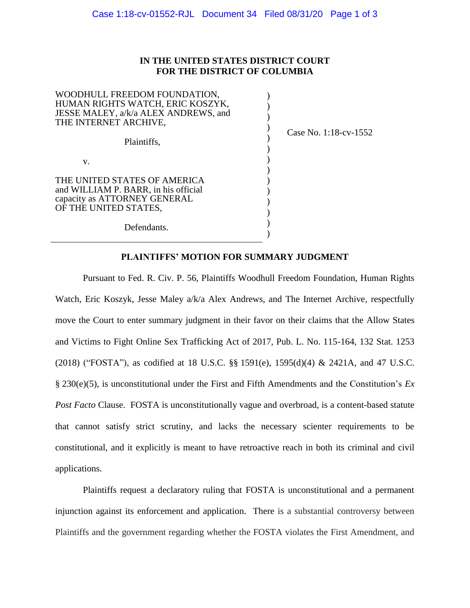## **IN THE UNITED STATES DISTRICT COURT FOR THE DISTRICT OF COLUMBIA**

| WOODHULL FREEDOM FOUNDATION,<br>HUMAN RIGHTS WATCH, ERIC KOSZYK,<br>JESSE MALEY, a/k/a ALEX ANDREWS, and<br>THE INTERNET ARCHIVE, |                             |
|-----------------------------------------------------------------------------------------------------------------------------------|-----------------------------|
| Plaintiffs.                                                                                                                       | Case No. $1:18$ -cv- $1552$ |
| V.                                                                                                                                |                             |
| THE UNITED STATES OF AMERICA                                                                                                      |                             |
| and WILLIAM P. BARR, in his official                                                                                              |                             |
| capacity as ATTORNEY GENERAL                                                                                                      |                             |
| OF THE UNITED STATES,                                                                                                             |                             |
| Defendants.                                                                                                                       |                             |
|                                                                                                                                   |                             |

## **PLAINTIFFS' MOTION FOR SUMMARY JUDGMENT**

Pursuant to Fed. R. Civ. P. 56, Plaintiffs Woodhull Freedom Foundation, Human Rights Watch, Eric Koszyk, Jesse Maley a/k/a Alex Andrews, and The Internet Archive, respectfully move the Court to enter summary judgment in their favor on their claims that the Allow States and Victims to Fight Online Sex Trafficking Act of 2017, Pub. L. No. 115-164, 132 Stat. 1253 (2018) ("FOSTA"), as codified at 18 U.S.C. §§ 1591(e), 1595(d)(4) & 2421A, and 47 U.S.C. § 230(e)(5), is unconstitutional under the First and Fifth Amendments and the Constitution's *Ex Post Facto* Clause. FOSTA is unconstitutionally vague and overbroad, is a content-based statute that cannot satisfy strict scrutiny, and lacks the necessary scienter requirements to be constitutional, and it explicitly is meant to have retroactive reach in both its criminal and civil applications.

Plaintiffs request a declaratory ruling that FOSTA is unconstitutional and a permanent injunction against its enforcement and application. There is a substantial controversy between Plaintiffs and the government regarding whether the FOSTA violates the First Amendment, and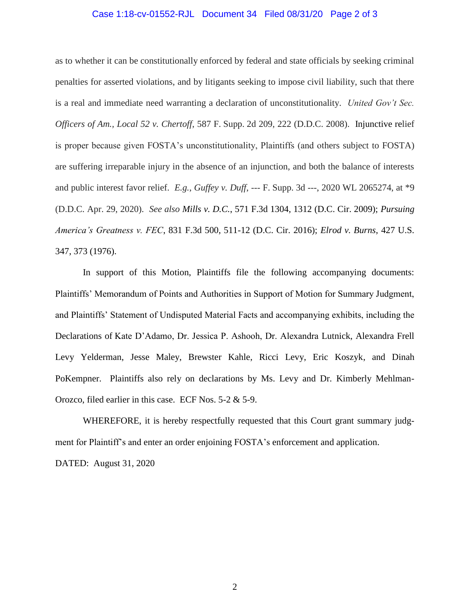## Case 1:18-cv-01552-RJL Document 34 Filed 08/31/20 Page 2 of 3

as to whether it can be constitutionally enforced by federal and state officials by seeking criminal penalties for asserted violations, and by litigants seeking to impose civil liability, such that there is a real and immediate need warranting a declaration of unconstitutionality. *United Gov't Sec. Officers of Am., Local 52 v. Chertoff*, 587 F. Supp. 2d 209, 222 (D.D.C. 2008). Injunctive relief is proper because given FOSTA's unconstitutionality, Plaintiffs (and others subject to FOSTA) are suffering irreparable injury in the absence of an injunction, and both the balance of interests and public interest favor relief. *E.g.*, *Guffey v. Duff*, --- F. Supp. 3d ---, 2020 WL 2065274, at \*9 (D.D.C. Apr. 29, 2020). *See also Mills v. D.C.*, 571 F.3d 1304, 1312 (D.C. Cir. 2009); *Pursuing America's Greatness v. FEC*, 831 F.3d 500, 511-12 (D.C. Cir. 2016); *Elrod v. Burns*, 427 U.S. 347, 373 (1976).

In support of this Motion, Plaintiffs file the following accompanying documents: Plaintiffs' Memorandum of Points and Authorities in Support of Motion for Summary Judgment, and Plaintiffs' Statement of Undisputed Material Facts and accompanying exhibits, including the Declarations of Kate D'Adamo, Dr. Jessica P. Ashooh, Dr. Alexandra Lutnick, Alexandra Frell Levy Yelderman, Jesse Maley, Brewster Kahle, Ricci Levy, Eric Koszyk, and Dinah PoKempner. Plaintiffs also rely on declarations by Ms. Levy and Dr. Kimberly Mehlman-Orozco, filed earlier in this case. ECF Nos. 5-2 & 5-9.

WHEREFORE, it is hereby respectfully requested that this Court grant summary judgment for Plaintiff's and enter an order enjoining FOSTA's enforcement and application. DATED: August 31, 2020

2